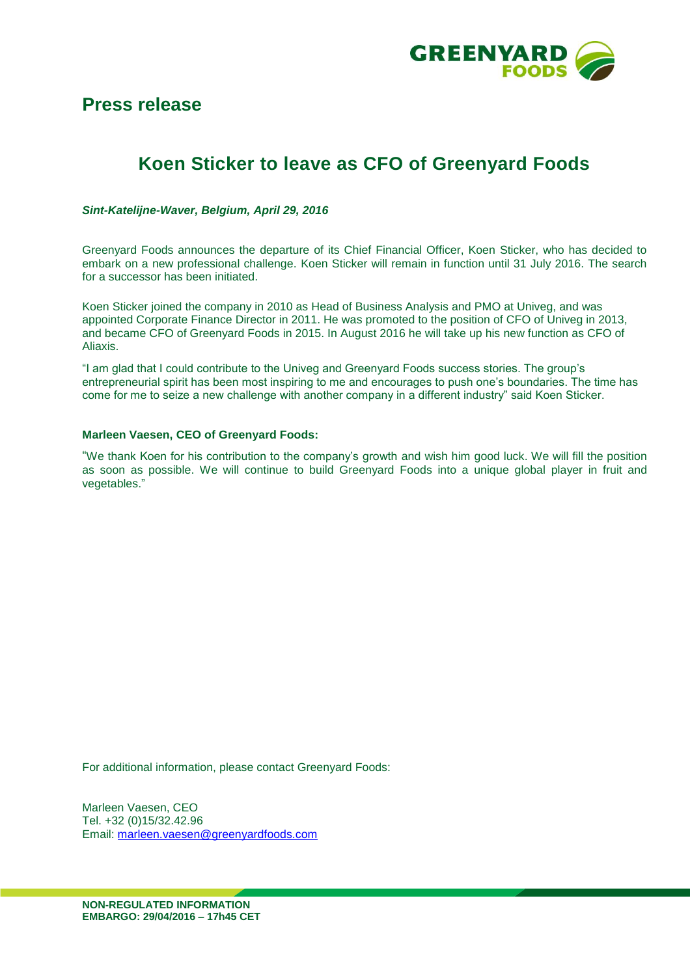

# **Press release**

# **Koen Sticker to leave as CFO of Greenyard Foods**

*Sint-Katelijne-Waver, Belgium, April 29, 2016*

Greenyard Foods announces the departure of its Chief Financial Officer, Koen Sticker, who has decided to embark on a new professional challenge. Koen Sticker will remain in function until 31 July 2016. The search for a successor has been initiated.

Koen Sticker joined the company in 2010 as Head of Business Analysis and PMO at Univeg, and was appointed Corporate Finance Director in 2011. He was promoted to the position of CFO of Univeg in 2013, and became CFO of Greenyard Foods in 2015. In August 2016 he will take up his new function as CFO of Aliaxis.

"I am glad that I could contribute to the Univeg and Greenyard Foods success stories. The group's entrepreneurial spirit has been most inspiring to me and encourages to push one's boundaries. The time has come for me to seize a new challenge with another company in a different industry" said Koen Sticker.

#### **Marleen Vaesen, CEO of Greenyard Foods:**

"We thank Koen for his contribution to the company's growth and wish him good luck. We will fill the position as soon as possible. We will continue to build Greenyard Foods into a unique global player in fruit and vegetables."

For additional information, please contact Greenyard Foods:

Marleen Vaesen, CEO Tel. +32 (0)15/32.42.96 Email: [marleen.vaesen@greenyardfoods.com](mailto:marleen.vaesen@greenyardfoods.com)